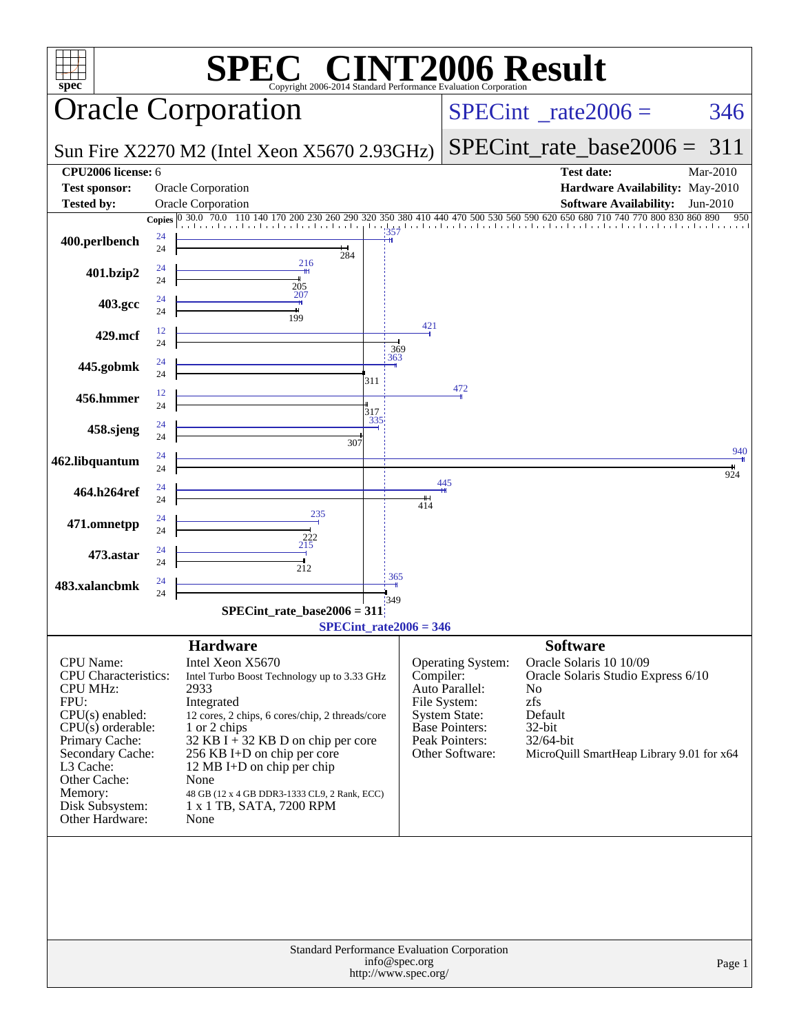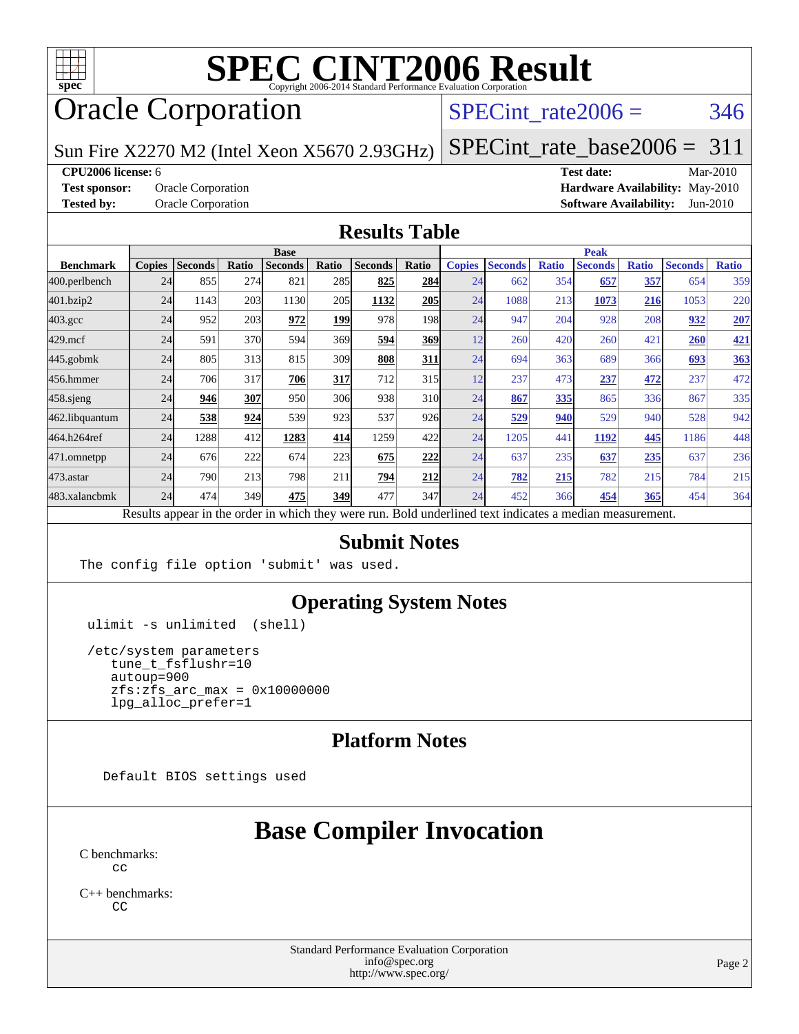

# Oracle Corporation

#### $SPECTnt_rate2006 = 346$

[SPECint\\_rate\\_base2006 =](http://www.spec.org/auto/cpu2006/Docs/result-fields.html#SPECintratebase2006) 311

Sun Fire X2270 M2 (Intel Xeon X5670 2.93GHz)

**[CPU2006 license:](http://www.spec.org/auto/cpu2006/Docs/result-fields.html#CPU2006license)** 6 **[Test date:](http://www.spec.org/auto/cpu2006/Docs/result-fields.html#Testdate)** Mar-2010 **[Test sponsor:](http://www.spec.org/auto/cpu2006/Docs/result-fields.html#Testsponsor)** Oracle Corporation **[Hardware Availability:](http://www.spec.org/auto/cpu2006/Docs/result-fields.html#HardwareAvailability)** May-2010 **[Tested by:](http://www.spec.org/auto/cpu2006/Docs/result-fields.html#Testedby)** Oracle Corporation **[Software Availability:](http://www.spec.org/auto/cpu2006/Docs/result-fields.html#SoftwareAvailability)** Jun-2010

#### **[Results Table](http://www.spec.org/auto/cpu2006/Docs/result-fields.html#ResultsTable)**

|                    | <b>Base</b>   |                |       |                                                                                                          |       |                |                  | <b>Peak</b>   |                |              |                |              |                |              |
|--------------------|---------------|----------------|-------|----------------------------------------------------------------------------------------------------------|-------|----------------|------------------|---------------|----------------|--------------|----------------|--------------|----------------|--------------|
| <b>Benchmark</b>   | <b>Copies</b> | <b>Seconds</b> | Ratio | <b>Seconds</b>                                                                                           | Ratio | <b>Seconds</b> | Ratio            | <b>Copies</b> | <b>Seconds</b> | <b>Ratio</b> | <b>Seconds</b> | <b>Ratio</b> | <b>Seconds</b> | <b>Ratio</b> |
| 400.perlbench      | 24            | 855            | 274   | 821                                                                                                      | 285   | 825            | 284              | 24            | 662            | 354          | 657            | 357          | 654            | 359          |
| 401.bzip2          | 24            | 1143           | 203   | 1130                                                                                                     | 205   | 1132           | <b>205</b>       | 24            | 1088           | 213          | 1073           | 216          | 1053           | 220          |
| $403.\mathrm{gcc}$ | 24            | 952            | 203   | 972                                                                                                      | 199   | 978            | 198 <sub>l</sub> | 24            | 947            | 204          | 928            | 208          | 932            | 207          |
| $429$ .mcf         | 24            | 591            | 370   | 594                                                                                                      | 369   | 594            | <b>369</b>       | 12            | 260            | 420          | 260            | 421          | 260            | <u>421</u>   |
| $445$ .gobmk       | 24            | 805            | 313   | 815                                                                                                      | 309   | 808            | 311              | 24            | 694            | 363          | 689            | 366          | 693            | 363          |
| 456.hmmer          | 24            | 706            | 317   | 706                                                                                                      | 317   | 712            | 315              | 12            | 237            | 473          | 237            | 472          | 237            | 472          |
| $458$ .sjeng       | 24            | 946            | 307   | 950                                                                                                      | 306   | 938            | 310              | 24            | 867            | 335          | 865            | 336          | 867            | 335          |
| 462.libquantum     | 24            | 538            | 924   | 539                                                                                                      | 923   | 537            | 926              | 24            | 529            | 940          | 529            | 940          | 528            | 942          |
| 464.h264ref        | 24            | 1288           | 412   | 1283                                                                                                     | 414   | 1259           | 422              | 24            | 1205           | 441          | 1192           | 445          | 1186           | 448          |
| 471.omnetpp        | 24            | 676            | 222   | 674                                                                                                      | 223   | 675            | 222              | 24            | 637            | 235          | 637            | 235          | 637            | 236          |
| $473$ . astar      | 24            | 790            | 213   | 798                                                                                                      | 211   | 794            | 212              | 24            | 782            | 215          | 782            | 215          | 784            | 215          |
| 483.xalancbmk      | 24            | 474            | 349   | 475                                                                                                      | 349   | 477            | 347              | 24            | 452            | 366          | 454            | 365          | 454            | 364          |
|                    |               |                |       | Results appear in the order in which they were run. Bold underlined text indicates a median measurement. |       |                |                  |               |                |              |                |              |                |              |

#### **[Submit Notes](http://www.spec.org/auto/cpu2006/Docs/result-fields.html#SubmitNotes)**

The config file option 'submit' was used.

#### **[Operating System Notes](http://www.spec.org/auto/cpu2006/Docs/result-fields.html#OperatingSystemNotes)**

ulimit -s unlimited (shell)

 /etc/system parameters tune\_t\_fsflushr=10 autoup=900 zfs:zfs\_arc\_max = 0x10000000 lpg\_alloc\_prefer=1

#### **[Platform Notes](http://www.spec.org/auto/cpu2006/Docs/result-fields.html#PlatformNotes)**

Default BIOS settings used

### **[Base Compiler Invocation](http://www.spec.org/auto/cpu2006/Docs/result-fields.html#BaseCompilerInvocation)**

[C benchmarks](http://www.spec.org/auto/cpu2006/Docs/result-fields.html#Cbenchmarks):  $C<sub>c</sub>$ 

[C++ benchmarks:](http://www.spec.org/auto/cpu2006/Docs/result-fields.html#CXXbenchmarks) [CC](http://www.spec.org/cpu2006/results/res2010q3/cpu2006-20100620-11765.flags.html#user_CXXbase_sun_CC)

> Standard Performance Evaluation Corporation [info@spec.org](mailto:info@spec.org) <http://www.spec.org/>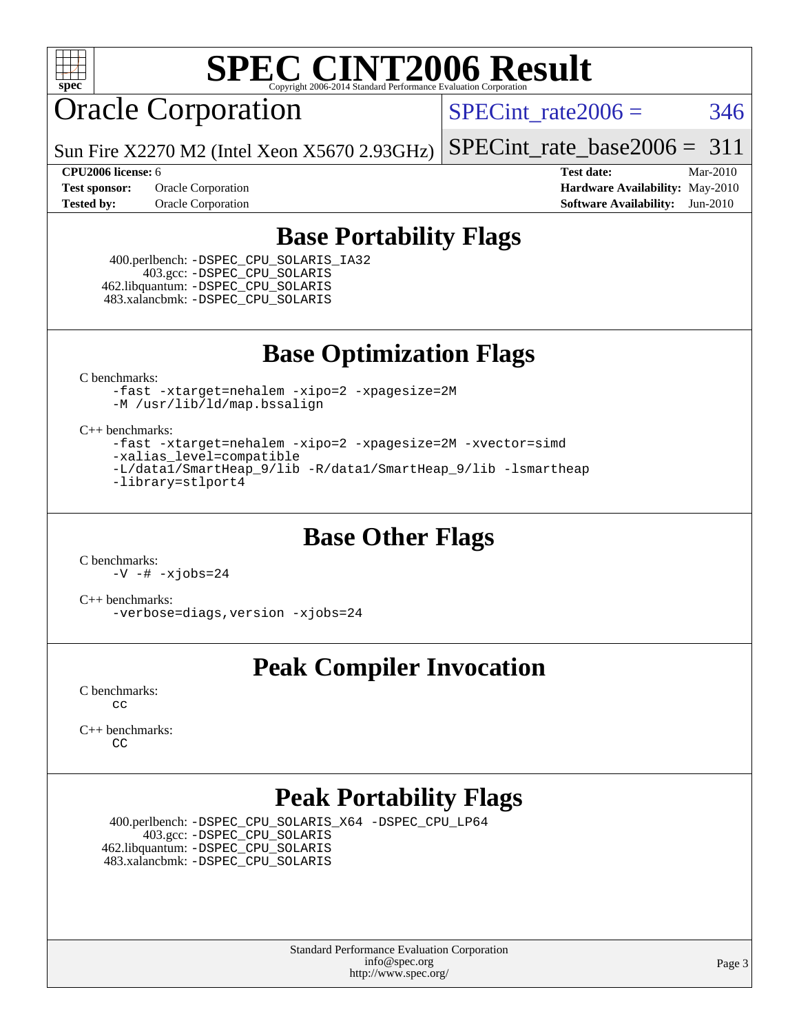

## Oracle Corporation

SPECint rate $2006 = 346$ 

Sun Fire X2270 M2 (Intel Xeon X5670 2.93GHz) [SPECint\\_rate\\_base2006 =](http://www.spec.org/auto/cpu2006/Docs/result-fields.html#SPECintratebase2006)  $311$ 

**[Tested by:](http://www.spec.org/auto/cpu2006/Docs/result-fields.html#Testedby)** Oracle Corporation **[Software Availability:](http://www.spec.org/auto/cpu2006/Docs/result-fields.html#SoftwareAvailability)** Jun-2010

**[CPU2006 license:](http://www.spec.org/auto/cpu2006/Docs/result-fields.html#CPU2006license)** 6 **[Test date:](http://www.spec.org/auto/cpu2006/Docs/result-fields.html#Testdate)** Mar-2010 **[Test sponsor:](http://www.spec.org/auto/cpu2006/Docs/result-fields.html#Testsponsor)** Oracle Corporation **[Hardware Availability:](http://www.spec.org/auto/cpu2006/Docs/result-fields.html#HardwareAvailability)** May-2010

#### **[Base Portability Flags](http://www.spec.org/auto/cpu2006/Docs/result-fields.html#BasePortabilityFlags)**

 400.perlbench: [-DSPEC\\_CPU\\_SOLARIS\\_IA32](http://www.spec.org/cpu2006/results/res2010q3/cpu2006-20100620-11765.flags.html#b400.perlbench_baseCPORTABILITY_DSPEC_CPU_SOLARIS_IA32) 403.gcc: [-DSPEC\\_CPU\\_SOLARIS](http://www.spec.org/cpu2006/results/res2010q3/cpu2006-20100620-11765.flags.html#b403.gcc_baseCPORTABILITY_DSPEC_CPU_SOLARIS) 462.libquantum: [-DSPEC\\_CPU\\_SOLARIS](http://www.spec.org/cpu2006/results/res2010q3/cpu2006-20100620-11765.flags.html#b462.libquantum_baseCPORTABILITY_DSPEC_CPU_SOLARIS) 483.xalancbmk: [-DSPEC\\_CPU\\_SOLARIS](http://www.spec.org/cpu2006/results/res2010q3/cpu2006-20100620-11765.flags.html#b483.xalancbmk_baseCXXPORTABILITY_DSPEC_CPU_SOLARIS)

**[Base Optimization Flags](http://www.spec.org/auto/cpu2006/Docs/result-fields.html#BaseOptimizationFlags)**

[C benchmarks](http://www.spec.org/auto/cpu2006/Docs/result-fields.html#Cbenchmarks):

[-fast](http://www.spec.org/cpu2006/results/res2010q3/cpu2006-20100620-11765.flags.html#user_CCbase_fast_cc) [-xtarget=nehalem](http://www.spec.org/cpu2006/results/res2010q3/cpu2006-20100620-11765.flags.html#user_CCbase_xtarget_74860a595ffaa63cd4d8626087837745) [-xipo=2](http://www.spec.org/cpu2006/results/res2010q3/cpu2006-20100620-11765.flags.html#user_CCbase_xipo_5e3708e8f61bc7c7cade0f8c4dada1db) [-xpagesize=2M](http://www.spec.org/cpu2006/results/res2010q3/cpu2006-20100620-11765.flags.html#user_CCbase_xpagesize_f50b67cca4ef3b24ae5e9aaf0af70b7e) [-M /usr/lib/ld/map.bssalign](http://www.spec.org/cpu2006/results/res2010q3/cpu2006-20100620-11765.flags.html#user_CCbase_Mmapfile)

[C++ benchmarks:](http://www.spec.org/auto/cpu2006/Docs/result-fields.html#CXXbenchmarks)

[-fast](http://www.spec.org/cpu2006/results/res2010q3/cpu2006-20100620-11765.flags.html#user_CXXbase_fast_CC) [-xtarget=nehalem](http://www.spec.org/cpu2006/results/res2010q3/cpu2006-20100620-11765.flags.html#user_CXXbase_xtarget_74860a595ffaa63cd4d8626087837745) [-xipo=2](http://www.spec.org/cpu2006/results/res2010q3/cpu2006-20100620-11765.flags.html#user_CXXbase_xipo_5e3708e8f61bc7c7cade0f8c4dada1db) [-xpagesize=2M](http://www.spec.org/cpu2006/results/res2010q3/cpu2006-20100620-11765.flags.html#user_CXXbase_xpagesize_f50b67cca4ef3b24ae5e9aaf0af70b7e) [-xvector=simd](http://www.spec.org/cpu2006/results/res2010q3/cpu2006-20100620-11765.flags.html#user_CXXbase_xvector_e0bda0e944b1aaab410387048a88518e) [-xalias\\_level=compatible](http://www.spec.org/cpu2006/results/res2010q3/cpu2006-20100620-11765.flags.html#user_CXXbase_xalias_level_CC_96f159d8d9a7543292667cc08592323e) [-L/data1/SmartHeap\\_9/lib -R/data1/SmartHeap\\_9/lib -lsmartheap](http://www.spec.org/cpu2006/results/res2010q3/cpu2006-20100620-11765.flags.html#user_CXXbase_F-Lsmartheap) [-library=stlport4](http://www.spec.org/cpu2006/results/res2010q3/cpu2006-20100620-11765.flags.html#user_CXXbase_F-lstlport4_b8e913805c6afc3a45e676d2e2070a28)

#### **[Base Other Flags](http://www.spec.org/auto/cpu2006/Docs/result-fields.html#BaseOtherFlags)**

[C benchmarks](http://www.spec.org/auto/cpu2006/Docs/result-fields.html#Cbenchmarks): [-V](http://www.spec.org/cpu2006/results/res2010q3/cpu2006-20100620-11765.flags.html#user_CCbase_version_ccf90) [-#](http://www.spec.org/cpu2006/results/res2010q3/cpu2006-20100620-11765.flags.html#user_CCbase_verbose_cc) [-xjobs=24](http://www.spec.org/cpu2006/results/res2010q3/cpu2006-20100620-11765.flags.html#user_CCbase_xjobs_abd6ddc54c9060592217816ca032119c)

[C++ benchmarks:](http://www.spec.org/auto/cpu2006/Docs/result-fields.html#CXXbenchmarks) [-verbose=diags,version](http://www.spec.org/cpu2006/results/res2010q3/cpu2006-20100620-11765.flags.html#user_CXXbase_verbose_CC) [-xjobs=24](http://www.spec.org/cpu2006/results/res2010q3/cpu2006-20100620-11765.flags.html#user_CXXbase_xjobs_abd6ddc54c9060592217816ca032119c)

### **[Peak Compiler Invocation](http://www.spec.org/auto/cpu2006/Docs/result-fields.html#PeakCompilerInvocation)**

[C benchmarks](http://www.spec.org/auto/cpu2006/Docs/result-fields.html#Cbenchmarks): [cc](http://www.spec.org/cpu2006/results/res2010q3/cpu2006-20100620-11765.flags.html#user_CCpeak_sun_cc)

[C++ benchmarks:](http://www.spec.org/auto/cpu2006/Docs/result-fields.html#CXXbenchmarks) [CC](http://www.spec.org/cpu2006/results/res2010q3/cpu2006-20100620-11765.flags.html#user_CXXpeak_sun_CC)

### **[Peak Portability Flags](http://www.spec.org/auto/cpu2006/Docs/result-fields.html#PeakPortabilityFlags)**

 400.perlbench: [-DSPEC\\_CPU\\_SOLARIS\\_X64](http://www.spec.org/cpu2006/results/res2010q3/cpu2006-20100620-11765.flags.html#b400.perlbench_peakCPORTABILITY_DSPEC_CPU_SOLARIS_X64) [-DSPEC\\_CPU\\_LP64](http://www.spec.org/cpu2006/results/res2010q3/cpu2006-20100620-11765.flags.html#b400.perlbench_peakCPORTABILITY_DSPEC_CPU_LP64) 403.gcc: [-DSPEC\\_CPU\\_SOLARIS](http://www.spec.org/cpu2006/results/res2010q3/cpu2006-20100620-11765.flags.html#b403.gcc_peakCPORTABILITY_DSPEC_CPU_SOLARIS) 462.libquantum: [-DSPEC\\_CPU\\_SOLARIS](http://www.spec.org/cpu2006/results/res2010q3/cpu2006-20100620-11765.flags.html#b462.libquantum_peakCPORTABILITY_DSPEC_CPU_SOLARIS) 483.xalancbmk: [-DSPEC\\_CPU\\_SOLARIS](http://www.spec.org/cpu2006/results/res2010q3/cpu2006-20100620-11765.flags.html#b483.xalancbmk_peakCXXPORTABILITY_DSPEC_CPU_SOLARIS)

> Standard Performance Evaluation Corporation [info@spec.org](mailto:info@spec.org) <http://www.spec.org/>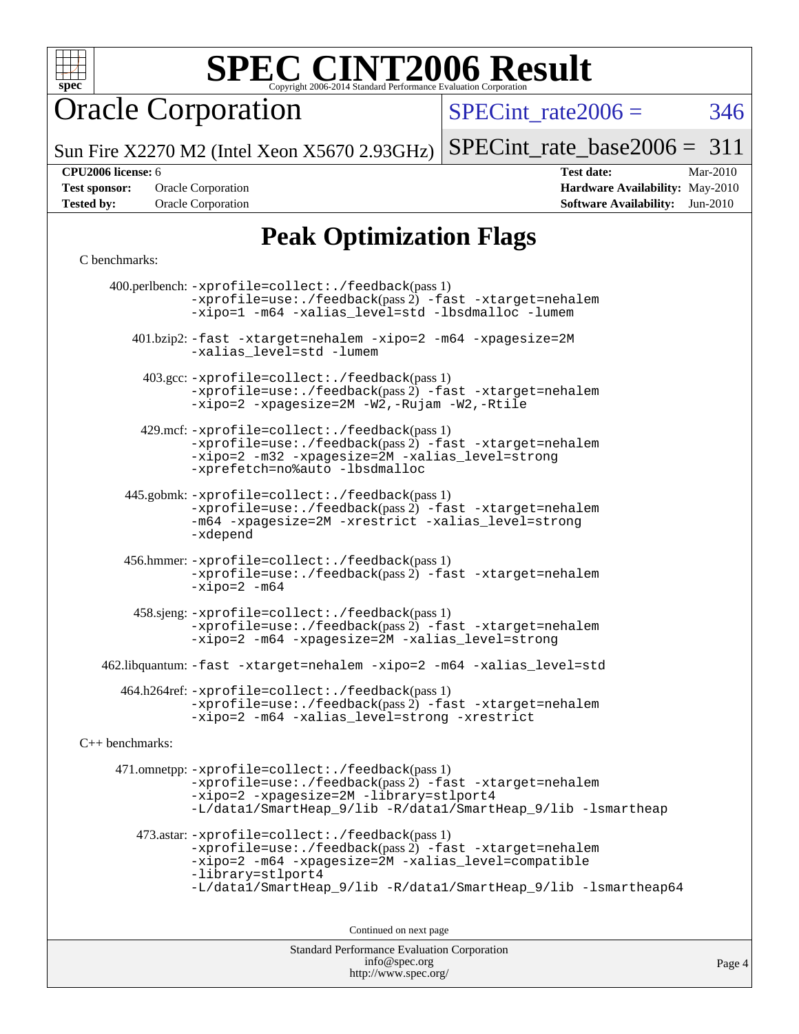

Oracle Corporation

SPECint rate $2006 = 346$ 

Sun Fire X2270 M2 (Intel Xeon X5670 2.93GHz) [SPECint\\_rate\\_base2006 =](http://www.spec.org/auto/cpu2006/Docs/result-fields.html#SPECintratebase2006)  $311$ 

**[Tested by:](http://www.spec.org/auto/cpu2006/Docs/result-fields.html#Testedby)** Oracle Corporation **[Software Availability:](http://www.spec.org/auto/cpu2006/Docs/result-fields.html#SoftwareAvailability)** Jun-2010

**[CPU2006 license:](http://www.spec.org/auto/cpu2006/Docs/result-fields.html#CPU2006license)** 6 **[Test date:](http://www.spec.org/auto/cpu2006/Docs/result-fields.html#Testdate)** Mar-2010 **[Test sponsor:](http://www.spec.org/auto/cpu2006/Docs/result-fields.html#Testsponsor)** Oracle Corporation **[Hardware Availability:](http://www.spec.org/auto/cpu2006/Docs/result-fields.html#HardwareAvailability)** May-2010

## **[Peak Optimization Flags](http://www.spec.org/auto/cpu2006/Docs/result-fields.html#PeakOptimizationFlags)**

#### [C benchmarks](http://www.spec.org/auto/cpu2006/Docs/result-fields.html#Cbenchmarks):

Standard Performance Evaluation Corporation [info@spec.org](mailto:info@spec.org) 400.perlbench: [-xprofile=collect:./feedback](http://www.spec.org/cpu2006/results/res2010q3/cpu2006-20100620-11765.flags.html#user_peakPASS1_CFLAGSPASS1_LDFLAGS400_perlbench_xprofile_collect_eb7600ff49c156e08b79eda146723f7d)(pass 1) [-xprofile=use:./feedback](http://www.spec.org/cpu2006/results/res2010q3/cpu2006-20100620-11765.flags.html#user_peakPASS2_CFLAGSPASS2_LDFLAGS400_perlbench_xprofile_use_2c7da09021590254e061b7043891e3f2)(pass 2) [-fast](http://www.spec.org/cpu2006/results/res2010q3/cpu2006-20100620-11765.flags.html#user_peakOPTIMIZE400_perlbench_fast_cc) [-xtarget=nehalem](http://www.spec.org/cpu2006/results/res2010q3/cpu2006-20100620-11765.flags.html#user_peakOPTIMIZE400_perlbench_xtarget_74860a595ffaa63cd4d8626087837745) [-xipo=1](http://www.spec.org/cpu2006/results/res2010q3/cpu2006-20100620-11765.flags.html#user_peakOPTIMIZE400_perlbench_xipo_244aeef1b109ad561a752b1a22d45e94) [-m64](http://www.spec.org/cpu2006/results/res2010q3/cpu2006-20100620-11765.flags.html#user_peakOPTIMIZE400_perlbench_F-m64) [-xalias\\_level=std](http://www.spec.org/cpu2006/results/res2010q3/cpu2006-20100620-11765.flags.html#user_peakOPTIMIZE400_perlbench_xalias_level_cc_ed12b6aa9cc1ccf9ee8329664a2d2066) [-lbsdmalloc](http://www.spec.org/cpu2006/results/res2010q3/cpu2006-20100620-11765.flags.html#user_peakEXTRA_LIBS400_perlbench_F-lbsdmalloc) [-lumem](http://www.spec.org/cpu2006/results/res2010q3/cpu2006-20100620-11765.flags.html#user_peakEXTRA_LIBS400_perlbench_F-lumem) 401.bzip2: [-fast](http://www.spec.org/cpu2006/results/res2010q3/cpu2006-20100620-11765.flags.html#user_peakOPTIMIZE401_bzip2_fast_cc) [-xtarget=nehalem](http://www.spec.org/cpu2006/results/res2010q3/cpu2006-20100620-11765.flags.html#user_peakOPTIMIZE401_bzip2_xtarget_74860a595ffaa63cd4d8626087837745) [-xipo=2](http://www.spec.org/cpu2006/results/res2010q3/cpu2006-20100620-11765.flags.html#user_peakOPTIMIZE401_bzip2_xipo_5e3708e8f61bc7c7cade0f8c4dada1db) [-m64](http://www.spec.org/cpu2006/results/res2010q3/cpu2006-20100620-11765.flags.html#user_peakOPTIMIZE401_bzip2_F-m64) [-xpagesize=2M](http://www.spec.org/cpu2006/results/res2010q3/cpu2006-20100620-11765.flags.html#user_peakOPTIMIZE401_bzip2_xpagesize_f50b67cca4ef3b24ae5e9aaf0af70b7e) [-xalias\\_level=std](http://www.spec.org/cpu2006/results/res2010q3/cpu2006-20100620-11765.flags.html#user_peakOPTIMIZE401_bzip2_xalias_level_cc_ed12b6aa9cc1ccf9ee8329664a2d2066) [-lumem](http://www.spec.org/cpu2006/results/res2010q3/cpu2006-20100620-11765.flags.html#user_peakEXTRA_LIBS401_bzip2_F-lumem) 403.gcc: [-xprofile=collect:./feedback](http://www.spec.org/cpu2006/results/res2010q3/cpu2006-20100620-11765.flags.html#user_peakPASS1_CFLAGSPASS1_LDFLAGS403_gcc_xprofile_collect_eb7600ff49c156e08b79eda146723f7d)(pass 1) [-xprofile=use:./feedback](http://www.spec.org/cpu2006/results/res2010q3/cpu2006-20100620-11765.flags.html#user_peakPASS2_CFLAGSPASS2_LDFLAGS403_gcc_xprofile_use_2c7da09021590254e061b7043891e3f2)(pass 2) [-fast](http://www.spec.org/cpu2006/results/res2010q3/cpu2006-20100620-11765.flags.html#user_peakOPTIMIZE403_gcc_fast_cc) [-xtarget=nehalem](http://www.spec.org/cpu2006/results/res2010q3/cpu2006-20100620-11765.flags.html#user_peakOPTIMIZE403_gcc_xtarget_74860a595ffaa63cd4d8626087837745) [-xipo=2](http://www.spec.org/cpu2006/results/res2010q3/cpu2006-20100620-11765.flags.html#user_peakOPTIMIZE403_gcc_xipo_5e3708e8f61bc7c7cade0f8c4dada1db) [-xpagesize=2M](http://www.spec.org/cpu2006/results/res2010q3/cpu2006-20100620-11765.flags.html#user_peakOPTIMIZE403_gcc_xpagesize_f50b67cca4ef3b24ae5e9aaf0af70b7e) [-W2,-Rujam](http://www.spec.org/cpu2006/results/res2010q3/cpu2006-20100620-11765.flags.html#user_peakCOPTIMIZE403_gcc_Rujam_bd0a3be023a85ea10a1f4d32007e195f) [-W2,-Rtile](http://www.spec.org/cpu2006/results/res2010q3/cpu2006-20100620-11765.flags.html#user_peakCOPTIMIZE403_gcc_Rtile_b376e3968d2912a65330994d7bfe5528) 429.mcf: [-xprofile=collect:./feedback](http://www.spec.org/cpu2006/results/res2010q3/cpu2006-20100620-11765.flags.html#user_peakPASS1_CFLAGSPASS1_LDFLAGS429_mcf_xprofile_collect_eb7600ff49c156e08b79eda146723f7d)(pass 1) [-xprofile=use:./feedback](http://www.spec.org/cpu2006/results/res2010q3/cpu2006-20100620-11765.flags.html#user_peakPASS2_CFLAGSPASS2_LDFLAGS429_mcf_xprofile_use_2c7da09021590254e061b7043891e3f2)(pass 2) [-fast](http://www.spec.org/cpu2006/results/res2010q3/cpu2006-20100620-11765.flags.html#user_peakOPTIMIZE429_mcf_fast_cc) [-xtarget=nehalem](http://www.spec.org/cpu2006/results/res2010q3/cpu2006-20100620-11765.flags.html#user_peakOPTIMIZE429_mcf_xtarget_74860a595ffaa63cd4d8626087837745) [-xipo=2](http://www.spec.org/cpu2006/results/res2010q3/cpu2006-20100620-11765.flags.html#user_peakOPTIMIZE429_mcf_xipo_5e3708e8f61bc7c7cade0f8c4dada1db) [-m32](http://www.spec.org/cpu2006/results/res2010q3/cpu2006-20100620-11765.flags.html#user_peakOPTIMIZE429_mcf_F-m32) [-xpagesize=2M](http://www.spec.org/cpu2006/results/res2010q3/cpu2006-20100620-11765.flags.html#user_peakOPTIMIZE429_mcf_xpagesize_f50b67cca4ef3b24ae5e9aaf0af70b7e) [-xalias\\_level=strong](http://www.spec.org/cpu2006/results/res2010q3/cpu2006-20100620-11765.flags.html#user_peakOPTIMIZE429_mcf_xalias_level_cc_55f5e21d5175f1806f53f2825faa86c9) [-xprefetch=no%auto](http://www.spec.org/cpu2006/results/res2010q3/cpu2006-20100620-11765.flags.html#user_peakOPTIMIZE429_mcf_xprefetch_aadf369b144f677b141e4051b7b2a0c9) [-lbsdmalloc](http://www.spec.org/cpu2006/results/res2010q3/cpu2006-20100620-11765.flags.html#user_peakEXTRA_LIBS429_mcf_F-lbsdmalloc) 445.gobmk: [-xprofile=collect:./feedback](http://www.spec.org/cpu2006/results/res2010q3/cpu2006-20100620-11765.flags.html#user_peakPASS1_CFLAGSPASS1_LDFLAGS445_gobmk_xprofile_collect_eb7600ff49c156e08b79eda146723f7d)(pass 1) [-xprofile=use:./feedback](http://www.spec.org/cpu2006/results/res2010q3/cpu2006-20100620-11765.flags.html#user_peakPASS2_CFLAGSPASS2_LDFLAGS445_gobmk_xprofile_use_2c7da09021590254e061b7043891e3f2)(pass 2) [-fast](http://www.spec.org/cpu2006/results/res2010q3/cpu2006-20100620-11765.flags.html#user_peakOPTIMIZE445_gobmk_fast_cc) [-xtarget=nehalem](http://www.spec.org/cpu2006/results/res2010q3/cpu2006-20100620-11765.flags.html#user_peakOPTIMIZE445_gobmk_xtarget_74860a595ffaa63cd4d8626087837745) [-m64](http://www.spec.org/cpu2006/results/res2010q3/cpu2006-20100620-11765.flags.html#user_peakOPTIMIZE445_gobmk_F-m64) [-xpagesize=2M](http://www.spec.org/cpu2006/results/res2010q3/cpu2006-20100620-11765.flags.html#user_peakOPTIMIZE445_gobmk_xpagesize_f50b67cca4ef3b24ae5e9aaf0af70b7e) [-xrestrict](http://www.spec.org/cpu2006/results/res2010q3/cpu2006-20100620-11765.flags.html#user_peakOPTIMIZE445_gobmk_F-xrestrict) [-xalias\\_level=strong](http://www.spec.org/cpu2006/results/res2010q3/cpu2006-20100620-11765.flags.html#user_peakOPTIMIZE445_gobmk_xalias_level_cc_55f5e21d5175f1806f53f2825faa86c9) [-xdepend](http://www.spec.org/cpu2006/results/res2010q3/cpu2006-20100620-11765.flags.html#user_peakOPTIMIZE445_gobmk_F-xdepend) 456.hmmer: [-xprofile=collect:./feedback](http://www.spec.org/cpu2006/results/res2010q3/cpu2006-20100620-11765.flags.html#user_peakPASS1_CFLAGSPASS1_LDFLAGS456_hmmer_xprofile_collect_eb7600ff49c156e08b79eda146723f7d)(pass 1)  $-$ xprofile=use:./feedback(pass 2)  $-$ fast  $-$ xtarget=nehalem  $-xipo=2 -m64$  $-xipo=2 -m64$  $-xipo=2 -m64$  458.sjeng: [-xprofile=collect:./feedback](http://www.spec.org/cpu2006/results/res2010q3/cpu2006-20100620-11765.flags.html#user_peakPASS1_CFLAGSPASS1_LDFLAGS458_sjeng_xprofile_collect_eb7600ff49c156e08b79eda146723f7d)(pass 1) [-xprofile=use:./feedback](http://www.spec.org/cpu2006/results/res2010q3/cpu2006-20100620-11765.flags.html#user_peakPASS2_CFLAGSPASS2_LDFLAGS458_sjeng_xprofile_use_2c7da09021590254e061b7043891e3f2)(pass 2) [-fast](http://www.spec.org/cpu2006/results/res2010q3/cpu2006-20100620-11765.flags.html#user_peakOPTIMIZE458_sjeng_fast_cc) [-xtarget=nehalem](http://www.spec.org/cpu2006/results/res2010q3/cpu2006-20100620-11765.flags.html#user_peakOPTIMIZE458_sjeng_xtarget_74860a595ffaa63cd4d8626087837745) [-xipo=2](http://www.spec.org/cpu2006/results/res2010q3/cpu2006-20100620-11765.flags.html#user_peakOPTIMIZE458_sjeng_xipo_5e3708e8f61bc7c7cade0f8c4dada1db) [-m64](http://www.spec.org/cpu2006/results/res2010q3/cpu2006-20100620-11765.flags.html#user_peakOPTIMIZE458_sjeng_F-m64) [-xpagesize=2M](http://www.spec.org/cpu2006/results/res2010q3/cpu2006-20100620-11765.flags.html#user_peakOPTIMIZE458_sjeng_xpagesize_f50b67cca4ef3b24ae5e9aaf0af70b7e) [-xalias\\_level=strong](http://www.spec.org/cpu2006/results/res2010q3/cpu2006-20100620-11765.flags.html#user_peakOPTIMIZE458_sjeng_xalias_level_cc_55f5e21d5175f1806f53f2825faa86c9) 462.libquantum: [-fast](http://www.spec.org/cpu2006/results/res2010q3/cpu2006-20100620-11765.flags.html#user_peakOPTIMIZE462_libquantum_fast_cc) [-xtarget=nehalem](http://www.spec.org/cpu2006/results/res2010q3/cpu2006-20100620-11765.flags.html#user_peakOPTIMIZE462_libquantum_xtarget_74860a595ffaa63cd4d8626087837745) [-xipo=2](http://www.spec.org/cpu2006/results/res2010q3/cpu2006-20100620-11765.flags.html#user_peakOPTIMIZE462_libquantum_xipo_5e3708e8f61bc7c7cade0f8c4dada1db) [-m64](http://www.spec.org/cpu2006/results/res2010q3/cpu2006-20100620-11765.flags.html#user_peakOPTIMIZE462_libquantum_F-m64) [-xalias\\_level=std](http://www.spec.org/cpu2006/results/res2010q3/cpu2006-20100620-11765.flags.html#user_peakEXTRA_OPTIMIZE462_libquantum_xalias_level_cc_ed12b6aa9cc1ccf9ee8329664a2d2066) 464.h264ref: [-xprofile=collect:./feedback](http://www.spec.org/cpu2006/results/res2010q3/cpu2006-20100620-11765.flags.html#user_peakPASS1_CFLAGSPASS1_LDFLAGS464_h264ref_xprofile_collect_eb7600ff49c156e08b79eda146723f7d)(pass 1) [-xprofile=use:./feedback](http://www.spec.org/cpu2006/results/res2010q3/cpu2006-20100620-11765.flags.html#user_peakPASS2_CFLAGSPASS2_LDFLAGS464_h264ref_xprofile_use_2c7da09021590254e061b7043891e3f2)(pass 2) [-fast](http://www.spec.org/cpu2006/results/res2010q3/cpu2006-20100620-11765.flags.html#user_peakOPTIMIZE464_h264ref_fast_cc) [-xtarget=nehalem](http://www.spec.org/cpu2006/results/res2010q3/cpu2006-20100620-11765.flags.html#user_peakOPTIMIZE464_h264ref_xtarget_74860a595ffaa63cd4d8626087837745) [-xipo=2](http://www.spec.org/cpu2006/results/res2010q3/cpu2006-20100620-11765.flags.html#user_peakOPTIMIZE464_h264ref_xipo_5e3708e8f61bc7c7cade0f8c4dada1db) [-m64](http://www.spec.org/cpu2006/results/res2010q3/cpu2006-20100620-11765.flags.html#user_peakOPTIMIZE464_h264ref_F-m64) [-xalias\\_level=strong](http://www.spec.org/cpu2006/results/res2010q3/cpu2006-20100620-11765.flags.html#user_peakOPTIMIZE464_h264ref_xalias_level_cc_55f5e21d5175f1806f53f2825faa86c9) [-xrestrict](http://www.spec.org/cpu2006/results/res2010q3/cpu2006-20100620-11765.flags.html#user_peakEXTRA_OPTIMIZE464_h264ref_F-xrestrict) [C++ benchmarks:](http://www.spec.org/auto/cpu2006/Docs/result-fields.html#CXXbenchmarks) 471.omnetpp: [-xprofile=collect:./feedback](http://www.spec.org/cpu2006/results/res2010q3/cpu2006-20100620-11765.flags.html#user_peakPASS1_CXXFLAGSPASS1_LDFLAGS471_omnetpp_xprofile_collect_eb7600ff49c156e08b79eda146723f7d)(pass 1) [-xprofile=use:./feedback](http://www.spec.org/cpu2006/results/res2010q3/cpu2006-20100620-11765.flags.html#user_peakPASS2_CXXFLAGSPASS2_LDFLAGS471_omnetpp_xprofile_use_2c7da09021590254e061b7043891e3f2)(pass 2) [-fast](http://www.spec.org/cpu2006/results/res2010q3/cpu2006-20100620-11765.flags.html#user_peakOPTIMIZE471_omnetpp_fast_CC) [-xtarget=nehalem](http://www.spec.org/cpu2006/results/res2010q3/cpu2006-20100620-11765.flags.html#user_peakOPTIMIZE471_omnetpp_xtarget_74860a595ffaa63cd4d8626087837745) [-xipo=2](http://www.spec.org/cpu2006/results/res2010q3/cpu2006-20100620-11765.flags.html#user_peakOPTIMIZE471_omnetpp_xipo_5e3708e8f61bc7c7cade0f8c4dada1db) [-xpagesize=2M](http://www.spec.org/cpu2006/results/res2010q3/cpu2006-20100620-11765.flags.html#user_peakOPTIMIZE471_omnetpp_xpagesize_f50b67cca4ef3b24ae5e9aaf0af70b7e) [-library=stlport4](http://www.spec.org/cpu2006/results/res2010q3/cpu2006-20100620-11765.flags.html#user_peakEXTRA_CXXFLAGSEXTRA_CXXLIBS471_omnetpp_F-lstlport4_b8e913805c6afc3a45e676d2e2070a28) [-L/data1/SmartHeap\\_9/lib -R/data1/SmartHeap\\_9/lib -lsmartheap](http://www.spec.org/cpu2006/results/res2010q3/cpu2006-20100620-11765.flags.html#user_peakEXTRA_OPTIMIZE471_omnetpp_F-Lsmartheap) 473.astar: [-xprofile=collect:./feedback](http://www.spec.org/cpu2006/results/res2010q3/cpu2006-20100620-11765.flags.html#user_peakPASS1_CXXFLAGSPASS1_LDFLAGS473_astar_xprofile_collect_eb7600ff49c156e08b79eda146723f7d)(pass 1)  $-$ xprofile=use:./feedback(pass 2)  $-$ fast  $-$ xtarget=nehalem [-xipo=2](http://www.spec.org/cpu2006/results/res2010q3/cpu2006-20100620-11765.flags.html#user_peakOPTIMIZE473_astar_xipo_5e3708e8f61bc7c7cade0f8c4dada1db) [-m64](http://www.spec.org/cpu2006/results/res2010q3/cpu2006-20100620-11765.flags.html#user_peakOPTIMIZE473_astar_F-m64) [-xpagesize=2M](http://www.spec.org/cpu2006/results/res2010q3/cpu2006-20100620-11765.flags.html#user_peakOPTIMIZE473_astar_xpagesize_f50b67cca4ef3b24ae5e9aaf0af70b7e) [-xalias\\_level=compatible](http://www.spec.org/cpu2006/results/res2010q3/cpu2006-20100620-11765.flags.html#user_peakOPTIMIZE473_astar_xalias_level_CC_96f159d8d9a7543292667cc08592323e) [-library=stlport4](http://www.spec.org/cpu2006/results/res2010q3/cpu2006-20100620-11765.flags.html#user_peakEXTRA_CXXFLAGSEXTRA_CXXLIBS473_astar_F-lstlport4_b8e913805c6afc3a45e676d2e2070a28) [-L/data1/SmartHeap\\_9/lib -R/data1/SmartHeap\\_9/lib -lsmartheap64](http://www.spec.org/cpu2006/results/res2010q3/cpu2006-20100620-11765.flags.html#user_peakEXTRA_OPTIMIZE473_astar_F-Lsmartheap_59b8d67c0237e9c561191c1e14e655e7) Continued on next page

<http://www.spec.org/>